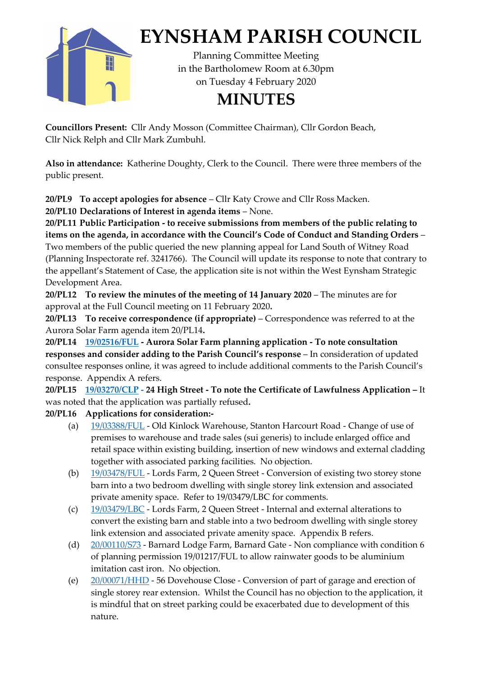

**Councillors Present:** Cllr Andy Mosson (Committee Chairman), Cllr Gordon Beach, Cllr Nick Relph and Cllr Mark Zumbuhl.

**Also in attendance:** Katherine Doughty, Clerk to the Council. There were three members of the public present.

**20/PL9 To accept apologies for absence** – Cllr Katy Crowe and Cllr Ross Macken.

**20/PL10 Declarations of Interest in agenda items** – None.

**20/PL11 Public Participation - to receive submissions from members of the public relating to items on the agenda, in accordance with the Council's Code of Conduct and Standing Orders** – Two members of the public queried the new planning appeal for Land South of Witney Road (Planning Inspectorate ref. 3241766). The Council will update its response to note that contrary to the appellant's Statement of Case, the application site is not within the West Eynsham Strategic Development Area.

**20/PL12 To review the minutes of the meeting of 14 January 2020** – The minutes are for approval at the Full Council meeting on 11 February 2020**.**

**20/PL13 To receive correspondence (if appropriate)** – Correspondence was referred to at the Aurora Solar Farm agenda item 20/PL14**.**

**20/PL14 [19/02516/FUL](https://publicaccess.westoxon.gov.uk/online-applications/applicationDetails.do?activeTab=documents&keyVal=PXEE4ZRKK7K00) - Aurora Solar Farm planning application - To note consultation responses and consider adding to the Parish Council's response** – In consideration of updated consultee responses online, it was agreed to include additional comments to the Parish Council's response. Appendix A refers.

**20/PL15 [19/03270/CLP](https://publicaccess.westoxon.gov.uk/online-applications/applicationDetails.do?activeTab=documents&keyVal=Q1IXERRKLNY00) - 24 High Street - To note the Certificate of Lawfulness Application –** It was noted that the application was partially refused**.** 

## **20/PL16 Applications for consideration:-**

- (a) [19/03388/FUL](https://publicaccess.westoxon.gov.uk/online-applications/applicationDetails.do?activeTab=documents&keyVal=Q24U9YRKLVG00) Old Kinlock Warehouse, Stanton Harcourt Road Change of use of premises to warehouse and trade sales (sui generis) to include enlarged office and retail space within existing building, insertion of new windows and external cladding together with associated parking facilities. No objection.
- (b) [19/03478/FUL](https://publicaccess.westoxon.gov.uk/online-applications/applicationDetails.do?activeTab=documents&keyVal=Q2PFY8RKM2A00) Lords Farm, 2 Queen Street Conversion of existing two storey stone barn into a two bedroom dwelling with single storey link extension and associated private amenity space. Refer to 19/03479/LBC for comments.
- (c) [19/03479/LBC](https://publicaccess.westoxon.gov.uk/online-applications/applicationDetails.do?activeTab=documents&keyVal=Q2PFYCRKM2B00) Lords Farm, 2 Queen Street Internal and external alterations to convert the existing barn and stable into a two bedroom dwelling with single storey link extension and associated private amenity space. Appendix B refers.
- (d) [20/00110/S73](https://publicaccess.westoxon.gov.uk/online-applications/applicationDetails.do?activeTab=documents&keyVal=Q437NERKMHM00) Barnard Lodge Farm, Barnard Gate Non compliance with condition 6 of planning permission 19/01217/FUL to allow rainwater goods to be aluminium imitation cast iron. No objection.
- (e) [20/00071/HHD](https://publicaccess.westoxon.gov.uk/online-applications/applicationDetails.do?activeTab=documents&keyVal=Q3VSWYRKMEL00) 56 Dovehouse Close Conversion of part of garage and erection of single storey rear extension. Whilst the Council has no objection to the application, it is mindful that on street parking could be exacerbated due to development of this nature.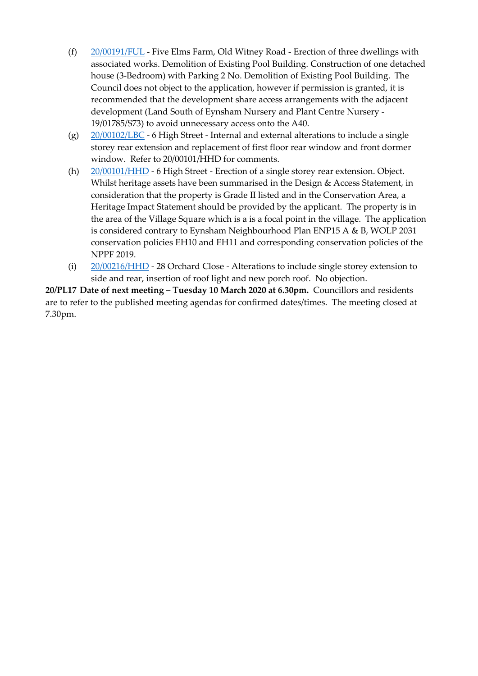- (f) [20/00191/FUL](https://publicaccess.westoxon.gov.uk/online-applications/applicationDetails.do?activeTab=documents&keyVal=Q4I0WCRKML700) Five Elms Farm, Old Witney Road Erection of three dwellings with associated works. Demolition of Existing Pool Building. Construction of one detached house (3-Bedroom) with Parking 2 No. Demolition of Existing Pool Building. The Council does not object to the application, however if permission is granted, it is recommended that the development share access arrangements with the adjacent development (Land South of Eynsham Nursery and Plant Centre Nursery - 19/01785/S73) to avoid unnecessary access onto the A40.
- (g)  $20/00102/LBC 6$  $20/00102/LBC 6$  High Street Internal and external alterations to include a single storey rear extension and replacement of first floor rear window and front dormer window. Refer to 20/00101/HHD for comments.
- (h) [20/00101/HHD](https://publicaccess.westoxon.gov.uk/online-applications/applicationDetails.do?activeTab=documents&keyVal=Q41Z36RK03C00) 6 High Street Erection of a single storey rear extension. Object. Whilst heritage assets have been summarised in the Design & Access Statement, in consideration that the property is Grade II listed and in the Conservation Area, a Heritage Impact Statement should be provided by the applicant. The property is in the area of the Village Square which is a is a focal point in the village. The application is considered contrary to Eynsham Neighbourhood Plan ENP15 A & B, WOLP 2031 conservation policies EH10 and EH11 and corresponding conservation policies of the NPPF 2019.
- (i) [20/00216/HHD](https://publicaccess.westoxon.gov.uk/online-applications/applicationDetails.do?activeTab=documents&keyVal=Q4K15ZRKMM400) 28 Orchard Close Alterations to include single storey extension to side and rear, insertion of roof light and new porch roof. No objection.

**20/PL17 Date of next meeting – Tuesday 10 March 2020 at 6.30pm.** Councillors and residents are to refer to the published meeting agendas for confirmed dates/times. The meeting closed at 7.30pm.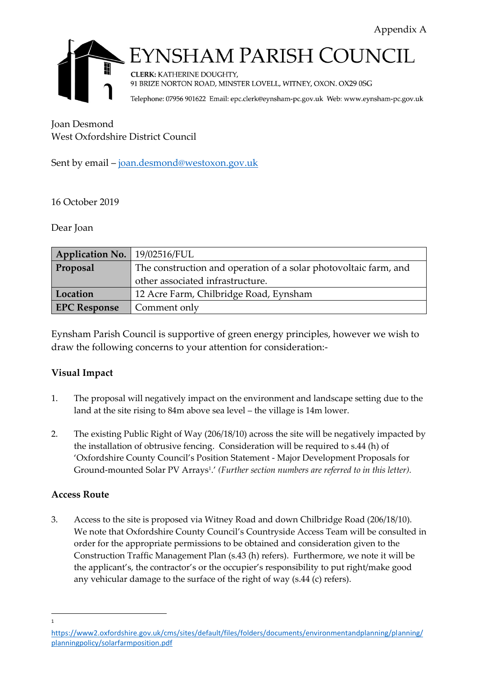

## YNSHAM PARISH COUNCIL

**CLERK: KATHERINE DOUGHTY,** 91 BRIZE NORTON ROAD, MINSTER LOVELL, WITNEY, OXON. OX29 0SG

Telephone: 07956 901622 Email: epc.clerk@eynsham-pc.gov.uk Web: www.eynsham-pc.gov.uk

Joan Desmond West Oxfordshire District Council

Sent by email – [joan.desmond@westoxon.gov.uk](mailto:joan.desmond@westoxon.gov.uk)

## 16 October 2019

## Dear Joan

| Application No.   19/02516/FUL |                                                                  |
|--------------------------------|------------------------------------------------------------------|
| Proposal                       | The construction and operation of a solar photovoltaic farm, and |
|                                | other associated infrastructure.                                 |
| Location                       | 12 Acre Farm, Chilbridge Road, Eynsham                           |
| <b>EPC Response</b>            | Comment only                                                     |

Eynsham Parish Council is supportive of green energy principles, however we wish to draw the following concerns to your attention for consideration:-

## **Visual Impact**

- 1. The proposal will negatively impact on the environment and landscape setting due to the land at the site rising to 84m above sea level – the village is 14m lower.
- 2. The existing Public Right of Way (206/18/10) across the site will be negatively impacted by the installation of obtrusive fencing. Consideration will be required to s.44 (h) of 'Oxfordshire County Council's Position Statement - Major Development Proposals for Ground-mounted Solar PV Arrays<sup>1</sup> .' *(Further section numbers are referred to in this letter).*

## **Access Route**

3. Access to the site is proposed via Witney Road and down Chilbridge Road (206/18/10). We note that Oxfordshire County Council's Countryside Access Team will be consulted in order for the appropriate permissions to be obtained and consideration given to the Construction Traffic Management Plan (s.43 (h) refers). Furthermore, we note it will be the applicant's, the contractor's or the occupier's responsibility to put right/make good any vehicular damage to the surface of the right of way (s.44 (c) refers).

[https://www2.oxfordshire.gov.uk/cms/sites/default/files/folders/documents/environmentandplanning/planning/](https://www2.oxfordshire.gov.uk/cms/sites/default/files/folders/documents/environmentandplanning/planning/planningpolicy/solarfarmposition.pdf) [planningpolicy/solarfarmposition.pdf](https://www2.oxfordshire.gov.uk/cms/sites/default/files/folders/documents/environmentandplanning/planning/planningpolicy/solarfarmposition.pdf)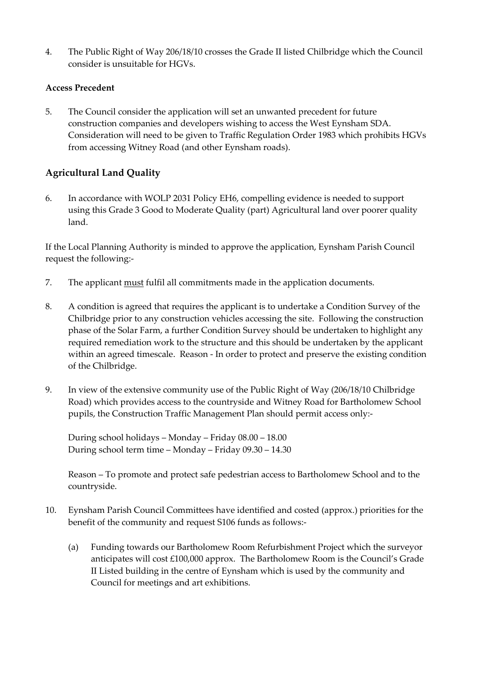4. The Public Right of Way 206/18/10 crosses the Grade II listed Chilbridge which the Council consider is unsuitable for HGVs.

#### **Access Precedent**

5. The Council consider the application will set an unwanted precedent for future construction companies and developers wishing to access the West Eynsham SDA. Consideration will need to be given to Traffic Regulation Order 1983 which prohibits HGVs from accessing Witney Road (and other Eynsham roads).

## **Agricultural Land Quality**

6. In accordance with WOLP 2031 Policy EH6, compelling evidence is needed to support using this Grade 3 Good to Moderate Quality (part) Agricultural land over poorer quality land.

If the Local Planning Authority is minded to approve the application, Eynsham Parish Council request the following:-

- 7. The applicant must fulfil all commitments made in the application documents.
- 8. A condition is agreed that requires the applicant is to undertake a Condition Survey of the Chilbridge prior to any construction vehicles accessing the site. Following the construction phase of the Solar Farm, a further Condition Survey should be undertaken to highlight any required remediation work to the structure and this should be undertaken by the applicant within an agreed timescale. Reason - In order to protect and preserve the existing condition of the Chilbridge.
- 9. In view of the extensive community use of the Public Right of Way (206/18/10 Chilbridge Road) which provides access to the countryside and Witney Road for Bartholomew School pupils, the Construction Traffic Management Plan should permit access only:-

During school holidays – Monday – Friday 08.00 – 18.00 During school term time – Monday – Friday 09.30 – 14.30

Reason – To promote and protect safe pedestrian access to Bartholomew School and to the countryside.

- 10. Eynsham Parish Council Committees have identified and costed (approx.) priorities for the benefit of the community and request S106 funds as follows:-
	- (a) Funding towards our Bartholomew Room Refurbishment Project which the surveyor anticipates will cost £100,000 approx. The Bartholomew Room is the Council's Grade II Listed building in the centre of Eynsham which is used by the community and Council for meetings and art exhibitions.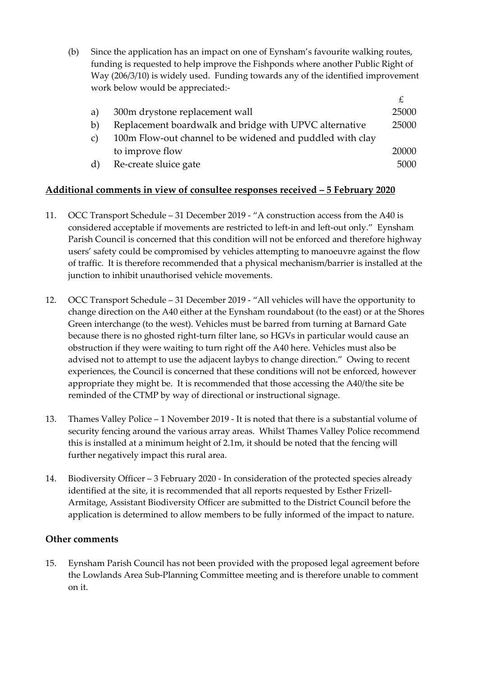(b) Since the application has an impact on one of Eynsham's favourite walking routes, funding is requested to help improve the Fishponds where another Public Right of Way (206/3/10) is widely used. Funding towards any of the identified improvement work below would be appreciated:-

| 300m drystone replacement wall                                  | 25000 |
|-----------------------------------------------------------------|-------|
| Replacement boardwalk and bridge with UPVC alternative          | 25000 |
| 100m Flow-out channel to be widened and puddled with clay<br>C) |       |
| to improve flow                                                 | 20000 |
| Re-create sluice gate                                           | 5000  |
|                                                                 |       |

## **Additional comments in view of consultee responses received – 5 February 2020**

- 11. OCC Transport Schedule 31 December 2019 "A construction access from the A40 is considered acceptable if movements are restricted to left-in and left-out only." Eynsham Parish Council is concerned that this condition will not be enforced and therefore highway users' safety could be compromised by vehicles attempting to manoeuvre against the flow of traffic. It is therefore recommended that a physical mechanism/barrier is installed at the junction to inhibit unauthorised vehicle movements.
- 12. OCC Transport Schedule 31 December 2019 "All vehicles will have the opportunity to change direction on the A40 either at the Eynsham roundabout (to the east) or at the Shores Green interchange (to the west). Vehicles must be barred from turning at Barnard Gate because there is no ghosted right-turn filter lane, so HGVs in particular would cause an obstruction if they were waiting to turn right off the A40 here. Vehicles must also be advised not to attempt to use the adjacent laybys to change direction." Owing to recent experiences, the Council is concerned that these conditions will not be enforced, however appropriate they might be. It is recommended that those accessing the A40/the site be reminded of the CTMP by way of directional or instructional signage.
- 13. Thames Valley Police 1 November 2019 It is noted that there is a substantial volume of security fencing around the various array areas. Whilst Thames Valley Police recommend this is installed at a minimum height of 2.1m, it should be noted that the fencing will further negatively impact this rural area.
- 14. Biodiversity Officer 3 February 2020 In consideration of the protected species already identified at the site, it is recommended that all reports requested by Esther Frizell-Armitage, Assistant Biodiversity Officer are submitted to the District Council before the application is determined to allow members to be fully informed of the impact to nature.

#### **Other comments**

15. Eynsham Parish Council has not been provided with the proposed legal agreement before the Lowlands Area Sub-Planning Committee meeting and is therefore unable to comment on it.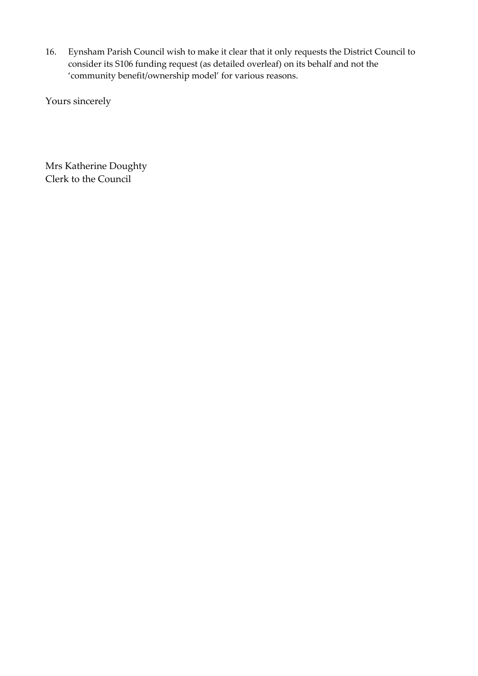16. Eynsham Parish Council wish to make it clear that it only requests the District Council to consider its S106 funding request (as detailed overleaf) on its behalf and not the 'community benefit/ownership model' for various reasons.

Yours sincerely

Mrs Katherine Doughty Clerk to the Council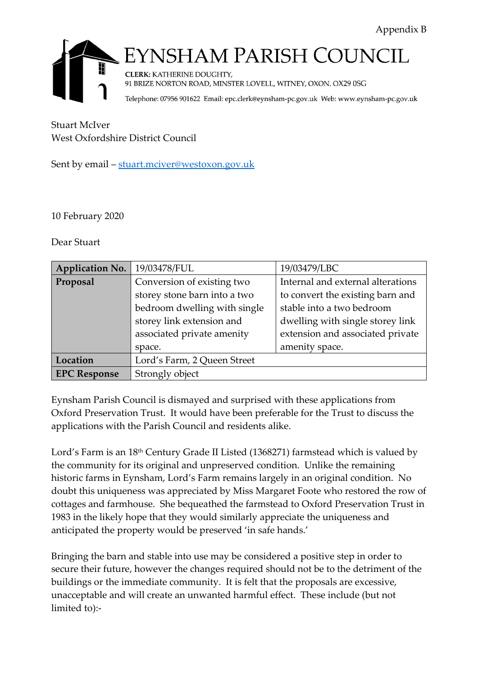

# YNSHAM PARISH COUNCIL

**CLERK: KATHERINE DOUGHTY,** 91 BRIZE NORTON ROAD, MINSTER LOVELL, WITNEY, OXON. OX29 0SG

Telephone: 07956 901622 Email: epc.clerk@eynsham-pc.gov.uk Web: www.eynsham-pc.gov.uk

Stuart McIver West Oxfordshire District Council

Sent by email – [stuart.mciver@westoxon.gov.uk](mailto:stuart.mciver@westoxon.gov.uk)

10 February 2020

Dear Stuart

| <b>Application No.</b> | 19/03478/FUL                 | 19/03479/LBC                      |  |
|------------------------|------------------------------|-----------------------------------|--|
| Proposal               | Conversion of existing two   | Internal and external alterations |  |
|                        | storey stone barn into a two | to convert the existing barn and  |  |
|                        | bedroom dwelling with single | stable into a two bedroom         |  |
|                        | storey link extension and    | dwelling with single storey link  |  |
|                        | associated private amenity   | extension and associated private  |  |
|                        | space.                       | amenity space.                    |  |
| Location               | Lord's Farm, 2 Queen Street  |                                   |  |
| <b>EPC Response</b>    | Strongly object              |                                   |  |

Eynsham Parish Council is dismayed and surprised with these applications from Oxford Preservation Trust. It would have been preferable for the Trust to discuss the applications with the Parish Council and residents alike.

Lord's Farm is an 18<sup>th</sup> Century Grade II Listed (1368271) farmstead which is valued by the community for its original and unpreserved condition. Unlike the remaining historic farms in Eynsham, Lord's Farm remains largely in an original condition. No doubt this uniqueness was appreciated by Miss Margaret Foote who restored the row of cottages and farmhouse. She bequeathed the farmstead to Oxford Preservation Trust in 1983 in the likely hope that they would similarly appreciate the uniqueness and anticipated the property would be preserved 'in safe hands.'

Bringing the barn and stable into use may be considered a positive step in order to secure their future, however the changes required should not be to the detriment of the buildings or the immediate community. It is felt that the proposals are excessive, unacceptable and will create an unwanted harmful effect. These include (but not limited to):-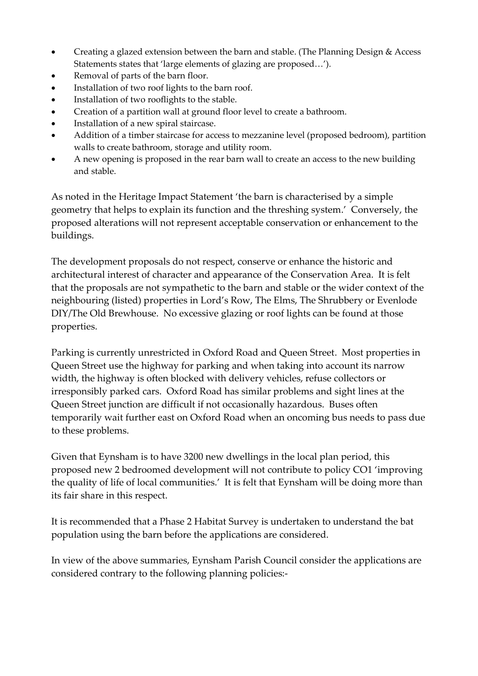- Creating a glazed extension between the barn and stable. (The Planning Design & Access Statements states that 'large elements of glazing are proposed…').
- Removal of parts of the barn floor.
- Installation of two roof lights to the barn roof.
- Installation of two rooflights to the stable.
- Creation of a partition wall at ground floor level to create a bathroom.
- Installation of a new spiral staircase.
- Addition of a timber staircase for access to mezzanine level (proposed bedroom), partition walls to create bathroom, storage and utility room.
- A new opening is proposed in the rear barn wall to create an access to the new building and stable.

As noted in the Heritage Impact Statement 'the barn is characterised by a simple geometry that helps to explain its function and the threshing system.' Conversely, the proposed alterations will not represent acceptable conservation or enhancement to the buildings.

The development proposals do not respect, conserve or enhance the historic and architectural interest of character and appearance of the Conservation Area. It is felt that the proposals are not sympathetic to the barn and stable or the wider context of the neighbouring (listed) properties in Lord's Row, The Elms, The Shrubbery or Evenlode DIY/The Old Brewhouse. No excessive glazing or roof lights can be found at those properties.

Parking is currently unrestricted in Oxford Road and Queen Street. Most properties in Queen Street use the highway for parking and when taking into account its narrow width, the highway is often blocked with delivery vehicles, refuse collectors or irresponsibly parked cars. Oxford Road has similar problems and sight lines at the Queen Street junction are difficult if not occasionally hazardous. Buses often temporarily wait further east on Oxford Road when an oncoming bus needs to pass due to these problems.

Given that Eynsham is to have 3200 new dwellings in the local plan period, this proposed new 2 bedroomed development will not contribute to policy CO1 'improving the quality of life of local communities.' It is felt that Eynsham will be doing more than its fair share in this respect.

It is recommended that a Phase 2 Habitat Survey is undertaken to understand the bat population using the barn before the applications are considered.

In view of the above summaries, Eynsham Parish Council consider the applications are considered contrary to the following planning policies:-